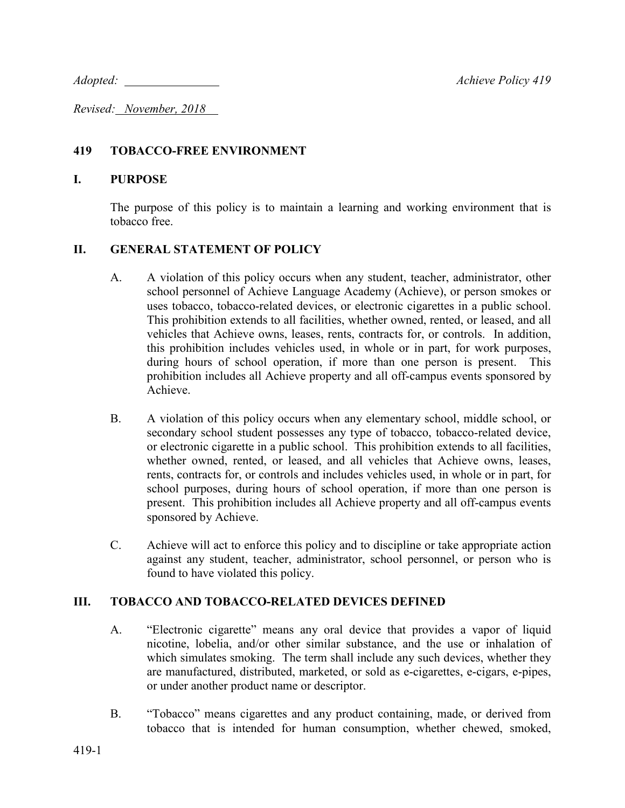*Adopted:* <u>Achieve Policy 419</u>

*Revised: November, 2018* 

# **419 TOBACCO-FREE ENVIRONMENT**

### **I. PURPOSE**

The purpose of this policy is to maintain a learning and working environment that is tobacco free.

## **II. GENERAL STATEMENT OF POLICY**

- A. A violation of this policy occurs when any student, teacher, administrator, other school personnel of Achieve Language Academy (Achieve), or person smokes or uses tobacco, tobacco-related devices, or electronic cigarettes in a public school. This prohibition extends to all facilities, whether owned, rented, or leased, and all vehicles that Achieve owns, leases, rents, contracts for, or controls. In addition, this prohibition includes vehicles used, in whole or in part, for work purposes, during hours of school operation, if more than one person is present. This prohibition includes all Achieve property and all off-campus events sponsored by Achieve.
- B. A violation of this policy occurs when any elementary school, middle school, or secondary school student possesses any type of tobacco, tobacco-related device, or electronic cigarette in a public school. This prohibition extends to all facilities, whether owned, rented, or leased, and all vehicles that Achieve owns, leases, rents, contracts for, or controls and includes vehicles used, in whole or in part, for school purposes, during hours of school operation, if more than one person is present. This prohibition includes all Achieve property and all off-campus events sponsored by Achieve.
- C. Achieve will act to enforce this policy and to discipline or take appropriate action against any student, teacher, administrator, school personnel, or person who is found to have violated this policy.

### **III. TOBACCO AND TOBACCO-RELATED DEVICES DEFINED**

- A. "Electronic cigarette" means any oral device that provides a vapor of liquid nicotine, lobelia, and/or other similar substance, and the use or inhalation of which simulates smoking. The term shall include any such devices, whether they are manufactured, distributed, marketed, or sold as e-cigarettes, e-cigars, e-pipes, or under another product name or descriptor.
- B. "Tobacco" means cigarettes and any product containing, made, or derived from tobacco that is intended for human consumption, whether chewed, smoked,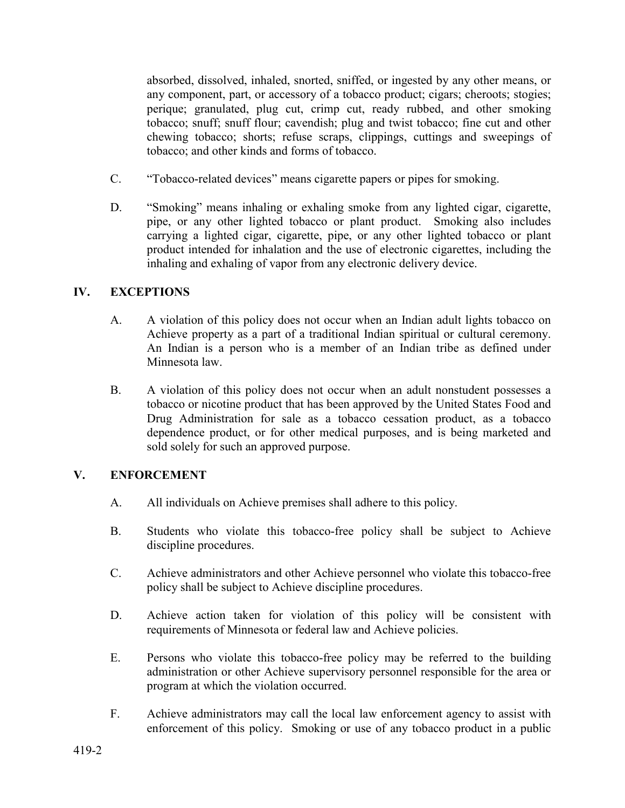absorbed, dissolved, inhaled, snorted, sniffed, or ingested by any other means, or any component, part, or accessory of a tobacco product; cigars; cheroots; stogies; perique; granulated, plug cut, crimp cut, ready rubbed, and other smoking tobacco; snuff; snuff flour; cavendish; plug and twist tobacco; fine cut and other chewing tobacco; shorts; refuse scraps, clippings, cuttings and sweepings of tobacco; and other kinds and forms of tobacco.

- C. "Tobacco-related devices" means cigarette papers or pipes for smoking.
- D. "Smoking" means inhaling or exhaling smoke from any lighted cigar, cigarette, pipe, or any other lighted tobacco or plant product. Smoking also includes carrying a lighted cigar, cigarette, pipe, or any other lighted tobacco or plant product intended for inhalation and the use of electronic cigarettes, including the inhaling and exhaling of vapor from any electronic delivery device.

# **IV. EXCEPTIONS**

- A. A violation of this policy does not occur when an Indian adult lights tobacco on Achieve property as a part of a traditional Indian spiritual or cultural ceremony. An Indian is a person who is a member of an Indian tribe as defined under Minnesota law.
- B. A violation of this policy does not occur when an adult nonstudent possesses a tobacco or nicotine product that has been approved by the United States Food and Drug Administration for sale as a tobacco cessation product, as a tobacco dependence product, or for other medical purposes, and is being marketed and sold solely for such an approved purpose.

# **V. ENFORCEMENT**

- A. All individuals on Achieve premises shall adhere to this policy.
- B. Students who violate this tobacco-free policy shall be subject to Achieve discipline procedures.
- C. Achieve administrators and other Achieve personnel who violate this tobacco-free policy shall be subject to Achieve discipline procedures.
- D. Achieve action taken for violation of this policy will be consistent with requirements of Minnesota or federal law and Achieve policies.
- E. Persons who violate this tobacco-free policy may be referred to the building administration or other Achieve supervisory personnel responsible for the area or program at which the violation occurred.
- F. Achieve administrators may call the local law enforcement agency to assist with enforcement of this policy. Smoking or use of any tobacco product in a public